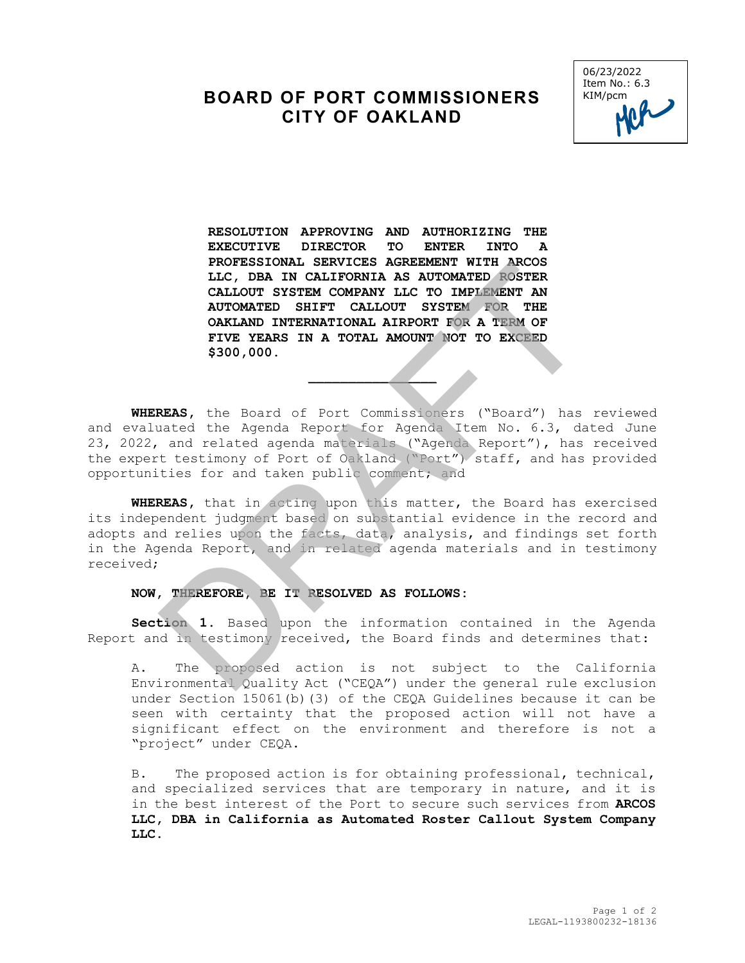## **BOARD OF PORT COMMISSIONERS CITY OF OAKLAND**



**RESOLUTION APPROVING AND AUTHORIZING THE EXECUTIVE DIRECTOR TO ENTER INTO A PROFESSIONAL SERVICES AGREEMENT WITH ARCOS LLC, DBA IN CALIFORNIA AS AUTOMATED ROSTER CALLOUT SYSTEM COMPANY LLC TO IMPLEMENT AN AUTOMATED SHIFT CALLOUT SYSTEM FOR THE OAKLAND INTERNATIONAL AIRPORT FOR A TERM OF FIVE YEARS IN A TOTAL AMOUNT NOT TO EXCEED \$300,000.** FROPERSIONAL SEAVILES ARRESTORY WITH AROUSTER<br>
ILC, DBA IN CALIFORNIA AS AUTOMATED ROSTER<br>
CALLOUT SYSTEM COMPANY LLC TO IMPLEMENT AN<br>
AUTOMATED SHIFT CALLOUT SYSTEM JOR THEN<br>
ONEARND INTERNATIONAL AIRPORT FOR A TERM OF<br>
F

**WHEREAS,** the Board of Port Commissioners ("Board") has reviewed and evaluated the Agenda Report for Agenda Item No. 6.3, dated June 23, 2022, and related agenda materials ("Agenda Report"), has received the expert testimony of Port of Oakland ("Port") staff, and has provided opportunities for and taken public comment; and

 $\frac{1}{2}$ 

**WHEREAS,** that in acting upon this matter, the Board has exercised its independent judgment based on substantial evidence in the record and adopts and relies upon the facts, data, analysis, and findings set forth in the Agenda Report, and in related agenda materials and in testimony received;

## **NOW, THEREFORE, BE IT RESOLVED AS FOLLOWS:**

**Section 1.** Based upon the information contained in the Agenda Report and in testimony received, the Board finds and determines that:

A. The proposed action is not subject to the California Environmental Quality Act ("CEQA") under the general rule exclusion under Section 15061(b)(3) of the CEQA Guidelines because it can be seen with certainty that the proposed action will not have a significant effect on the environment and therefore is not a "project" under CEQA.

B. The proposed action is for obtaining professional, technical, and specialized services that are temporary in nature, and it is in the best interest of the Port to secure such services from **ARCOS LLC, DBA in California as Automated Roster Callout System Company LLC**.